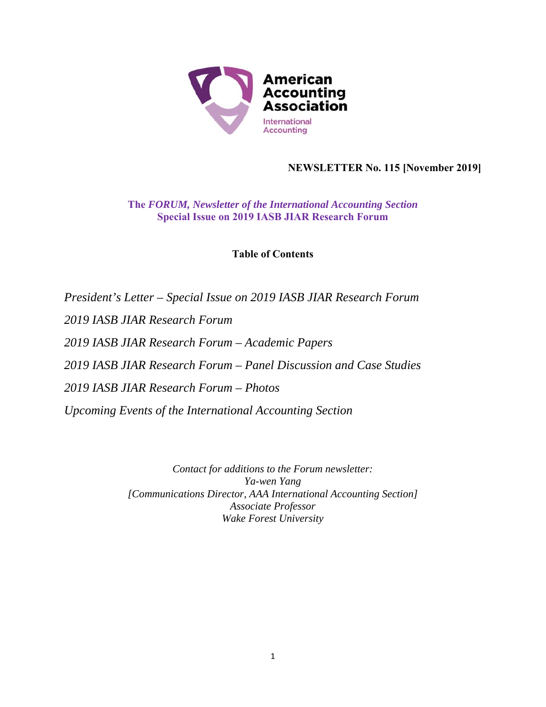

# **NEWSLETTER No. 115 [November 2019]**

**The** *FORUM, Newsletter of the International Accounting Section* **Special Issue on 2019 IASB JIAR Research Forum** 

**Table of Contents** 

*President's Letter – Special Issue on 2019 IASB JIAR Research Forum 2019 IASB JIAR Research Forum 2019 IASB JIAR Research Forum – Academic Papers 2019 IASB JIAR Research Forum – Panel Discussion and Case Studies 2019 IASB JIAR Research Forum – Photos Upcoming Events of the International Accounting Section* 

> *Contact for additions to the Forum newsletter: Ya-wen Yang [Communications Director, AAA International Accounting Section] Associate Professor Wake Forest University*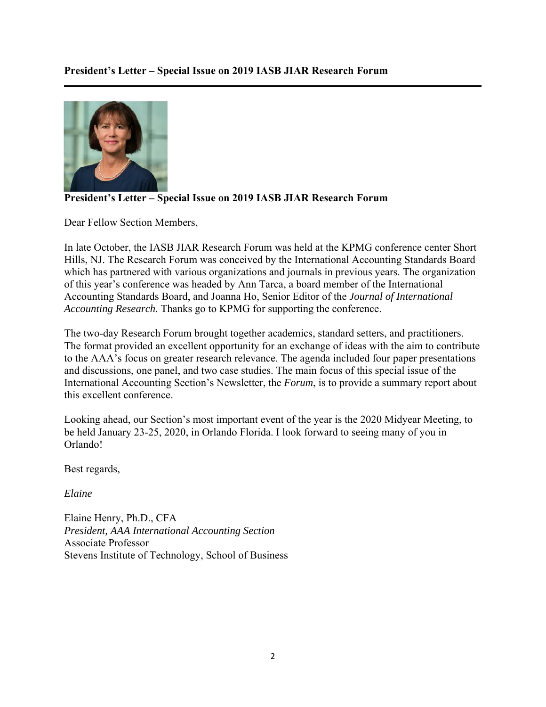

# **President's Letter – Special Issue on 2019 IASB JIAR Research Forum**

Dear Fellow Section Members,

In late October, the IASB JIAR Research Forum was held at the KPMG conference center Short Hills, NJ. The Research Forum was conceived by the International Accounting Standards Board which has partnered with various organizations and journals in previous years. The organization of this year's conference was headed by Ann Tarca, a board member of the International Accounting Standards Board, and Joanna Ho, Senior Editor of the *Journal of International Accounting Research*. Thanks go to KPMG for supporting the conference.

The two-day Research Forum brought together academics, standard setters, and practitioners. The format provided an excellent opportunity for an exchange of ideas with the aim to contribute to the AAA's focus on greater research relevance. The agenda included four paper presentations and discussions, one panel, and two case studies. The main focus of this special issue of the International Accounting Section's Newsletter, the *Forum*, is to provide a summary report about this excellent conference.

Looking ahead, our Section's most important event of the year is the 2020 Midyear Meeting, to be held January 23-25, 2020, in Orlando Florida. I look forward to seeing many of you in Orlando!

Best regards,

*Elaine* 

Elaine Henry, Ph.D., CFA *President, AAA International Accounting Section*  Associate Professor Stevens Institute of Technology, School of Business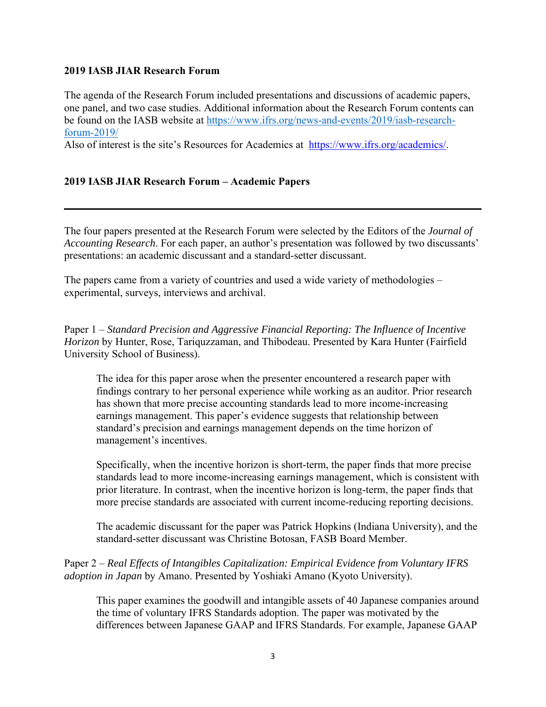#### **2019 IASB JIAR Research Forum**

The agenda of the Research Forum included presentations and discussions of academic papers, one panel, and two case studies. Additional information about the Research Forum contents can be found on the IASB website at https://www.ifrs.org/news-and-events/2019/iasb-researchforum-2019/

Also of interest is the site's Resources for Academics at https://www.ifrs.org/academics/.

#### **2019 IASB JIAR Research Forum – Academic Papers**

The four papers presented at the Research Forum were selected by the Editors of the *Journal of Accounting Research*. For each paper, an author's presentation was followed by two discussants' presentations: an academic discussant and a standard-setter discussant.

The papers came from a variety of countries and used a wide variety of methodologies – experimental, surveys, interviews and archival.

Paper 1 – *Standard Precision and Aggressive Financial Reporting: The Influence of Incentive Horizon* by Hunter, Rose, Tariquzzaman, and Thibodeau. Presented by Kara Hunter (Fairfield University School of Business).

The idea for this paper arose when the presenter encountered a research paper with findings contrary to her personal experience while working as an auditor. Prior research has shown that more precise accounting standards lead to more income-increasing earnings management. This paper's evidence suggests that relationship between standard's precision and earnings management depends on the time horizon of management's incentives.

Specifically, when the incentive horizon is short-term, the paper finds that more precise standards lead to more income-increasing earnings management, which is consistent with prior literature. In contrast, when the incentive horizon is long-term, the paper finds that more precise standards are associated with current income-reducing reporting decisions.

The academic discussant for the paper was Patrick Hopkins (Indiana University), and the standard-setter discussant was Christine Botosan, FASB Board Member.

Paper 2 – *Real Effects of Intangibles Capitalization: Empirical Evidence from Voluntary IFRS adoption in Japan* by Amano. Presented by Yoshiaki Amano (Kyoto University).

This paper examines the goodwill and intangible assets of 40 Japanese companies around the time of voluntary IFRS Standards adoption. The paper was motivated by the differences between Japanese GAAP and IFRS Standards. For example, Japanese GAAP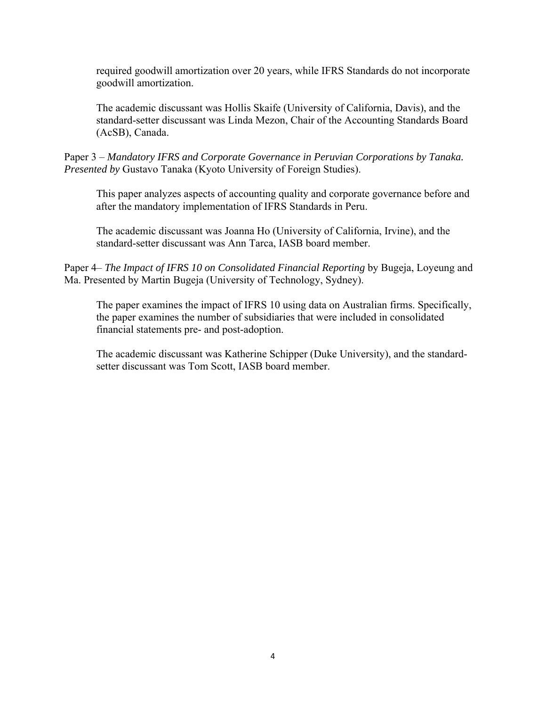required goodwill amortization over 20 years, while IFRS Standards do not incorporate goodwill amortization.

The academic discussant was Hollis Skaife (University of California, Davis), and the standard-setter discussant was Linda Mezon, Chair of the Accounting Standards Board (AcSB), Canada.

Paper 3 – *Mandatory IFRS and Corporate Governance in Peruvian Corporations by Tanaka. Presented by* Gustavo Tanaka (Kyoto University of Foreign Studies).

This paper analyzes aspects of accounting quality and corporate governance before and after the mandatory implementation of IFRS Standards in Peru.

The academic discussant was Joanna Ho (University of California, Irvine), and the standard-setter discussant was Ann Tarca, IASB board member.

Paper 4– *The Impact of IFRS 10 on Consolidated Financial Reporting* by Bugeja, Loyeung and Ma. Presented by Martin Bugeja (University of Technology, Sydney).

The paper examines the impact of IFRS 10 using data on Australian firms. Specifically, the paper examines the number of subsidiaries that were included in consolidated financial statements pre- and post-adoption.

The academic discussant was Katherine Schipper (Duke University), and the standardsetter discussant was Tom Scott, IASB board member.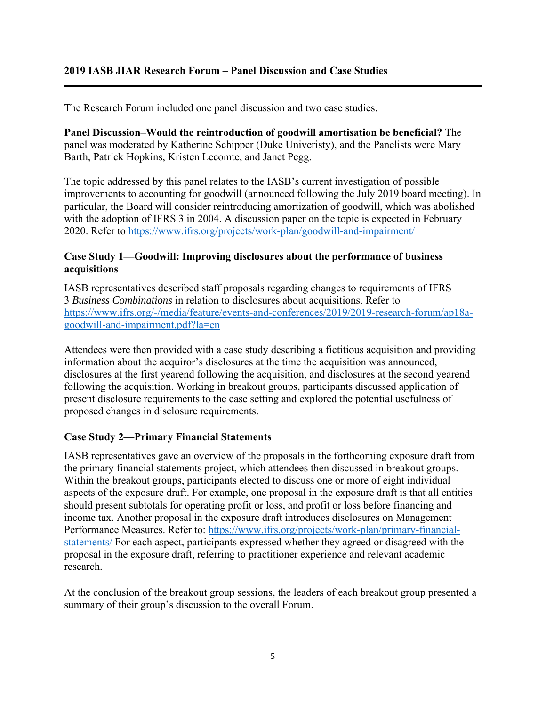The Research Forum included one panel discussion and two case studies.

**Panel Discussion–Would the reintroduction of goodwill amortisation be beneficial?** The panel was moderated by Katherine Schipper (Duke Univeristy), and the Panelists were Mary Barth, Patrick Hopkins, Kristen Lecomte, and Janet Pegg.

The topic addressed by this panel relates to the IASB's current investigation of possible improvements to accounting for goodwill (announced following the July 2019 board meeting). In particular, the Board will consider reintroducing amortization of goodwill, which was abolished with the adoption of IFRS 3 in 2004. A discussion paper on the topic is expected in February 2020. Refer to https://www.ifrs.org/projects/work-plan/goodwill-and-impairment/

## **Case Study 1—Goodwill: Improving disclosures about the performance of business acquisitions**

IASB representatives described staff proposals regarding changes to requirements of IFRS 3 *Business Combinations* in relation to disclosures about acquisitions. Refer to https://www.ifrs.org/-/media/feature/events-and-conferences/2019/2019-research-forum/ap18agoodwill-and-impairment.pdf?la=en

Attendees were then provided with a case study describing a fictitious acquisition and providing information about the acquiror's disclosures at the time the acquisition was announced, disclosures at the first yearend following the acquisition, and disclosures at the second yearend following the acquisition. Working in breakout groups, participants discussed application of present disclosure requirements to the case setting and explored the potential usefulness of proposed changes in disclosure requirements.

# **Case Study 2—Primary Financial Statements**

IASB representatives gave an overview of the proposals in the forthcoming exposure draft from the primary financial statements project, which attendees then discussed in breakout groups. Within the breakout groups, participants elected to discuss one or more of eight individual aspects of the exposure draft. For example, one proposal in the exposure draft is that all entities should present subtotals for operating profit or loss, and profit or loss before financing and income tax. Another proposal in the exposure draft introduces disclosures on Management Performance Measures. Refer to: https://www.ifrs.org/projects/work-plan/primary-financialstatements/ For each aspect, participants expressed whether they agreed or disagreed with the proposal in the exposure draft, referring to practitioner experience and relevant academic research.

At the conclusion of the breakout group sessions, the leaders of each breakout group presented a summary of their group's discussion to the overall Forum.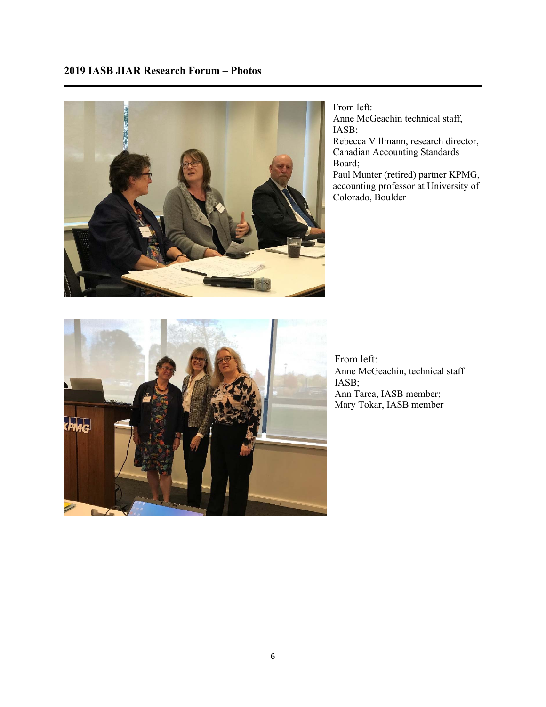

From left: Anne McGeachin technical staff, IASB;

Rebecca Villmann, research director, Canadian Accounting Standards Board;

Paul Munter (retired) partner KPMG, accounting professor at University of Colorado, Boulder



From left: Anne McGeachin, technical staff IASB; Ann Tarca, IASB member; Mary Tokar, IASB member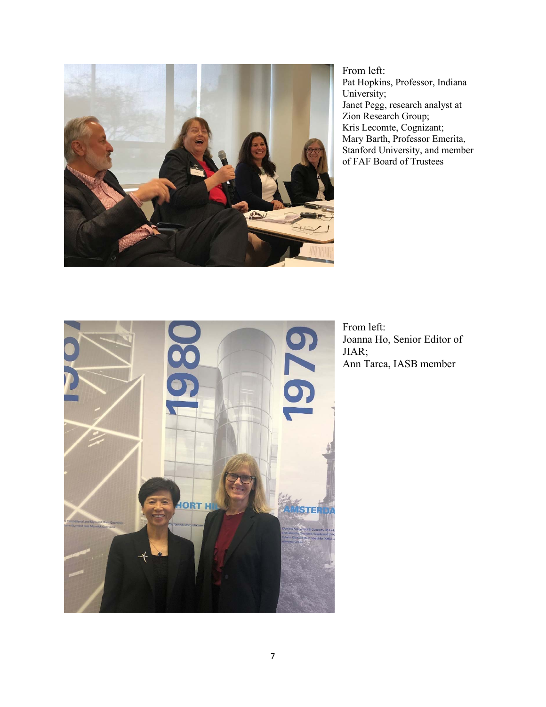

From left: Pat Hopkins, Professor, Indiana University; Janet Pegg, research analyst at Zion Research Group; Kris Lecomte, Cognizant; Mary Barth, Professor Emerita, Stanford University, and member of FAF Board of Trustees



From left: Joanna Ho, Senior Editor of JIAR; Ann Tarca, IASB member